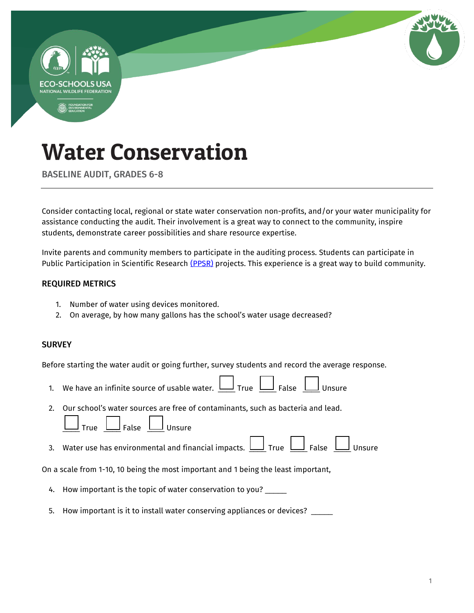

BASELINE AUDIT, GRADES 6-8

Consider contacting local, regional or state water conservation non-profits, and/or your water municipality for assistance conducting the audit. Their involvement is a great way to connect to the community, inspire students, demonstrate career possibilities and share resource expertise.

Invite parents and community members to participate in the auditing process. Students can participate in Public Participation in Scientific Research [\(PPSR\)](https://en.wikipedia.org/wiki/Citizen_science) projects. This experience is a great way to build community.

#### REQUIRED METRICS

- 1. Number of water using devices monitored.
- 2. On average, by how many gallons has the school's water usage decreased?

### **SURVEY**

Before starting the water audit or going further, survey students and record the average response.

- 1. We have an infinite source of usable water.  $\Box$  True  $\Box$  False  $\Box$  Unsure
- 2. Our school's water sources are free of contaminants, such as bacteria and lead.

| True | False | Unsure |
|------|-------|--------|
|------|-------|--------|

Г

 $\Box$ 

3. Water use has environmental and financial impacts.  $\Box$  True  $\Box$  False  $\Box$  Unsure

On a scale from 1-10, 10 being the most important and 1 being the least important,

- 4. How important is the topic of water conservation to you? \_\_\_\_\_
- 5. How important is it to install water conserving appliances or devices? \_\_\_\_\_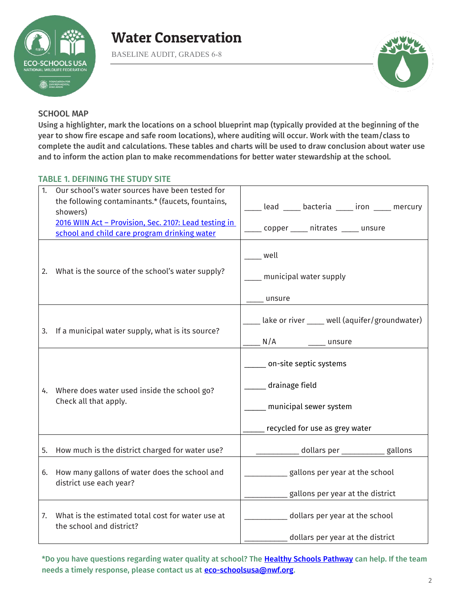

BASELINE AUDIT, GRADES 6-8



### SCHOOL MAP

Using a highlighter, mark the locations on a school blueprint map (typically provided at the beginning of the year to show fire escape and safe room locations), where auditing will occur. Work with the team/class to complete the audit and calculations. These tables and charts will be used to draw conclusion about water use and to inform the action plan to make recommendations for better water stewardship at the school.

### TABLE 1. DEFINING THE STUDY SITE

| 1. | Our school's water sources have been tested for<br>the following contaminants.* (faucets, fountains,<br>showers)<br>2016 WIIN Act - Provision, Sec. 2107: Lead testing in<br>school and child care program drinking water | lead _____ bacteria _____ iron _____ mercury<br>____ copper _____ nitrates _____ unsure              |  |  |  |  |  |  |  |  |  |
|----|---------------------------------------------------------------------------------------------------------------------------------------------------------------------------------------------------------------------------|------------------------------------------------------------------------------------------------------|--|--|--|--|--|--|--|--|--|
| 2. | What is the source of the school's water supply?                                                                                                                                                                          | well<br>$\_$ municipal water supply<br>unsure                                                        |  |  |  |  |  |  |  |  |  |
|    | 3. If a municipal water supply, what is its source?                                                                                                                                                                       | lake or river ____ well (aquifer/groundwater)<br>N/A<br>___ unsure                                   |  |  |  |  |  |  |  |  |  |
|    | 4. Where does water used inside the school go?<br>Check all that apply.                                                                                                                                                   | on-site septic systems<br>drainage field<br>municipal sewer system<br>recycled for use as grey water |  |  |  |  |  |  |  |  |  |
| 5. | How much is the district charged for water use?                                                                                                                                                                           | _dollars per ___________gallons                                                                      |  |  |  |  |  |  |  |  |  |
| 6. | How many gallons of water does the school and<br>district use each year?                                                                                                                                                  | gallons per year at the school<br>gallons per year at the district                                   |  |  |  |  |  |  |  |  |  |
| 7. | What is the estimated total cost for water use at<br>the school and district?                                                                                                                                             | dollars per year at the school<br>dollars per year at the district                                   |  |  |  |  |  |  |  |  |  |
|    |                                                                                                                                                                                                                           |                                                                                                      |  |  |  |  |  |  |  |  |  |

\*Do you have questions regarding water quality at school? The Healthy Schools Pathway can help. If the team needs a timely response, please contact us at **eco-schoolsusa@nwf.org**.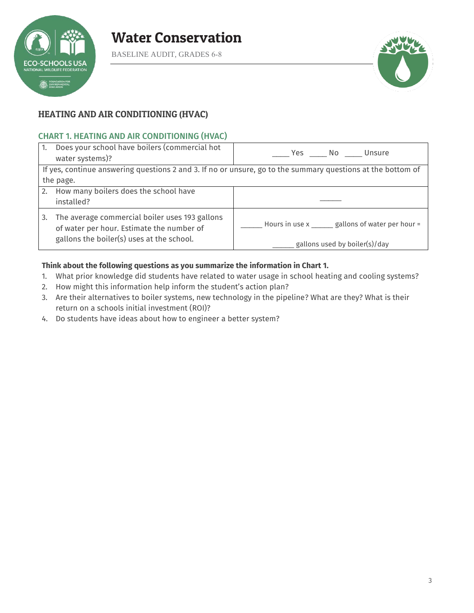

BASELINE AUDIT, GRADES 6-8



### HEATING AND AIR CONDITIONING (HVAC)

### CHART 1. HEATING AND AIR CONDITIONING (HVAC)

| 1. | Does your school have boilers (commercial hot<br>water systems)?                            | Yes No Unsure                                                                                               |  |  |  |  |  |  |  |
|----|---------------------------------------------------------------------------------------------|-------------------------------------------------------------------------------------------------------------|--|--|--|--|--|--|--|
|    |                                                                                             | If yes, continue answering questions 2 and 3. If no or unsure, go to the summary questions at the bottom of |  |  |  |  |  |  |  |
|    | the page.                                                                                   |                                                                                                             |  |  |  |  |  |  |  |
|    | 2. How many boilers does the school have                                                    |                                                                                                             |  |  |  |  |  |  |  |
|    | installed?                                                                                  |                                                                                                             |  |  |  |  |  |  |  |
| 3. | The average commercial boiler uses 193 gallons<br>of water per hour. Estimate the number of | Hours in use x ______ gallons of water per hour =                                                           |  |  |  |  |  |  |  |
|    | gallons the boiler(s) uses at the school.                                                   | $\frac{1}{2}$ gallons used by boiler(s)/day                                                                 |  |  |  |  |  |  |  |

### **Think about the following questions as you summarize the information in Chart 1.**

- 1. What prior knowledge did students have related to water usage in school heating and cooling systems?
- 2. How might this information help inform the student's action plan?
- 3. Are their alternatives to boiler systems, new technology in the pipeline? What are they? What is their return on a schools initial investment (ROI)?
- 4. Do students have ideas about how to engineer a better system?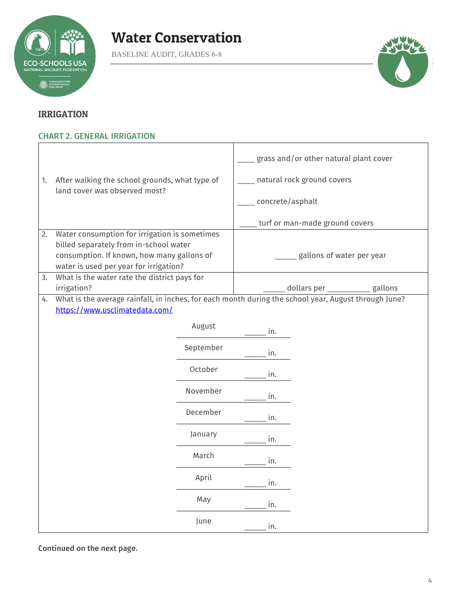

BASELINE AUDIT, GRADES 6-8



 $\overline{\phantom{a}}$ 

### IRRIGATION

# CHART 2. GENERAL IRRIGATION

|    |                                                                                                      |           | grass and/or other natural plant cover |                                   |  |  |  |  |  |  |  |  |
|----|------------------------------------------------------------------------------------------------------|-----------|----------------------------------------|-----------------------------------|--|--|--|--|--|--|--|--|
| 1. | After walking the school grounds, what type of                                                       |           |                                        | natural rock ground covers        |  |  |  |  |  |  |  |  |
|    | land cover was observed most?                                                                        |           | concrete/asphalt                       |                                   |  |  |  |  |  |  |  |  |
|    |                                                                                                      |           | turf or man-made ground covers         |                                   |  |  |  |  |  |  |  |  |
| 2. | Water consumption for irrigation is sometimes                                                        |           |                                        |                                   |  |  |  |  |  |  |  |  |
|    | billed separately from in-school water                                                               |           |                                        |                                   |  |  |  |  |  |  |  |  |
|    | consumption. If known, how many gallons of                                                           |           |                                        | gallons of water per year         |  |  |  |  |  |  |  |  |
|    | water is used per year for irrigation?                                                               |           |                                        |                                   |  |  |  |  |  |  |  |  |
| 3. | What is the water rate the district pays for                                                         |           |                                        |                                   |  |  |  |  |  |  |  |  |
|    | irrigation?                                                                                          |           |                                        | gallons<br>dollars per __________ |  |  |  |  |  |  |  |  |
| 4. | What is the average rainfall, in inches, for each month during the school year, August through June? |           |                                        |                                   |  |  |  |  |  |  |  |  |
|    | https://www.usclimatedata.com/                                                                       |           |                                        |                                   |  |  |  |  |  |  |  |  |
|    |                                                                                                      | August    |                                        |                                   |  |  |  |  |  |  |  |  |
|    |                                                                                                      |           | in.                                    |                                   |  |  |  |  |  |  |  |  |
|    |                                                                                                      | September | in.                                    |                                   |  |  |  |  |  |  |  |  |
|    |                                                                                                      | October   | in.                                    |                                   |  |  |  |  |  |  |  |  |
|    |                                                                                                      | November  | in.                                    |                                   |  |  |  |  |  |  |  |  |
|    |                                                                                                      |           |                                        |                                   |  |  |  |  |  |  |  |  |
|    |                                                                                                      | December  | in.                                    |                                   |  |  |  |  |  |  |  |  |
|    |                                                                                                      | January   | in.                                    |                                   |  |  |  |  |  |  |  |  |
|    |                                                                                                      | March     | in.                                    |                                   |  |  |  |  |  |  |  |  |
|    |                                                                                                      | April     | in.                                    |                                   |  |  |  |  |  |  |  |  |
|    |                                                                                                      | May       | in.                                    |                                   |  |  |  |  |  |  |  |  |
|    |                                                                                                      | June      | in.                                    |                                   |  |  |  |  |  |  |  |  |

Τ

Continued on the next page.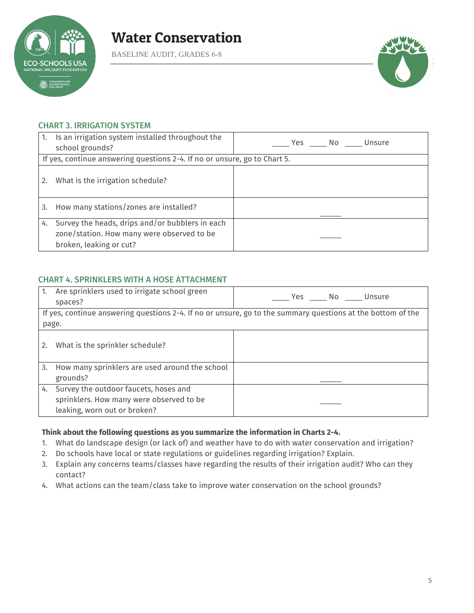

BASELINE AUDIT, GRADES 6-8



### CHART 3. IRRIGATION SYSTEM

| 1. | Is an irrigation system installed throughout the<br>school grounds?                                                      | Yes No Unsure |
|----|--------------------------------------------------------------------------------------------------------------------------|---------------|
|    | If yes, continue answering questions 2-4. If no or unsure, go to Chart 5.                                                |               |
| 2. | What is the irrigation schedule?                                                                                         |               |
| 3. | How many stations/zones are installed?                                                                                   |               |
| 4. | Survey the heads, drips and/or bubblers in each<br>zone/station. How many were observed to be<br>broken, leaking or cut? |               |

### CHART 4. SPRINKLERS WITH A HOSE ATTACHMENT

| 1.    | Are sprinklers used to irrigate school green<br>spaces? | Ves No Unsure                                                                                               |
|-------|---------------------------------------------------------|-------------------------------------------------------------------------------------------------------------|
|       |                                                         | If yes, continue answering questions 2-4. If no or unsure, go to the summary questions at the bottom of the |
| page. |                                                         |                                                                                                             |
| 2.    | What is the sprinkler schedule?                         |                                                                                                             |
| 3.    | How many sprinklers are used around the school          |                                                                                                             |
|       | grounds?                                                |                                                                                                             |
| 4.    | Survey the outdoor faucets, hoses and                   |                                                                                                             |
|       | sprinklers. How many were observed to be                |                                                                                                             |
|       | leaking, worn out or broken?                            |                                                                                                             |

#### **Think about the following questions as you summarize the information in Charts 2-4.**

- 1. What do landscape design (or lack of) and weather have to do with water conservation and irrigation?
- 2. Do schools have local or state regulations or guidelines regarding irrigation? Explain.
- 3. Explain any concerns teams/classes have regarding the results of their irrigation audit? Who can they contact?
- 4. What actions can the team/class take to improve water conservation on the school grounds?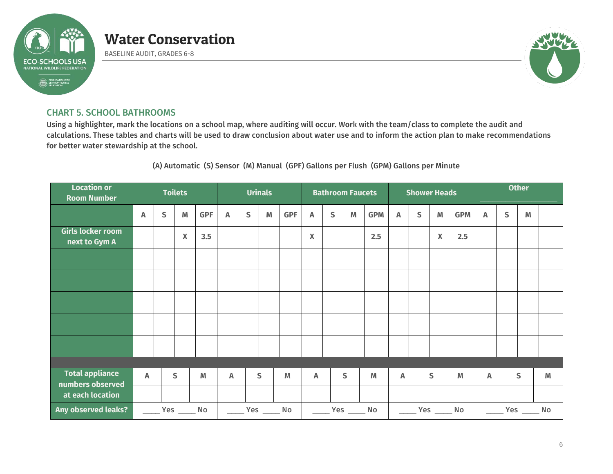

BASELINE AUDIT, GRADES 6-8



### CHART 5. SCHOOL BATHROOMS

Using a highlighter, mark the locations on a school map, where auditing will occur. Work with the team/class to complete the audit and calculations. These tables and charts will be used to draw conclusion about water use and to inform the action plan to make recommendations for better water stewardship at the school.

### (A) Automatic (S) Sensor (M) Manual (GPF) Gallons per Flush (GPM) Gallons per Minute

| <b>Location or</b><br><b>Room Number</b>   | <b>Toilets</b> |              |                 |            |                           |                | <b>Urinals</b> |            |                    | <b>Bathroom Faucets</b> |                         |            |                           |              | <b>Shower Heads</b>                              |            | <b>Other</b>              |   |   |   |  |
|--------------------------------------------|----------------|--------------|-----------------|------------|---------------------------|----------------|----------------|------------|--------------------|-------------------------|-------------------------|------------|---------------------------|--------------|--------------------------------------------------|------------|---------------------------|---|---|---|--|
|                                            | A              | $\mathsf{S}$ | M               | <b>GPF</b> | Α                         | S              | M              | <b>GPF</b> | A                  | S                       | $\mathsf{M}\phantom{M}$ | <b>GPM</b> | $\boldsymbol{\mathsf{A}}$ | $\mathsf{S}$ | M                                                | <b>GPM</b> | $\boldsymbol{\mathsf{A}}$ | S | M |   |  |
| Girls locker room<br>next to Gym A         |                |              | X               | 3.5        |                           |                |                |            | $\pmb{\mathsf{X}}$ |                         |                         | 2.5        |                           |              | $\mathbf x$                                      | 2.5        |                           |   |   |   |  |
|                                            |                |              |                 |            |                           |                |                |            |                    |                         |                         |            |                           |              |                                                  |            |                           |   |   |   |  |
|                                            |                |              |                 |            |                           |                |                |            |                    |                         |                         |            |                           |              |                                                  |            |                           |   |   |   |  |
|                                            |                |              |                 |            |                           |                |                |            |                    |                         |                         |            |                           |              |                                                  |            |                           |   |   |   |  |
|                                            |                |              |                 |            |                           |                |                |            |                    |                         |                         |            |                           |              |                                                  |            |                           |   |   |   |  |
|                                            |                |              |                 |            |                           |                |                |            |                    |                         |                         |            |                           |              |                                                  |            |                           |   |   |   |  |
|                                            |                |              |                 |            |                           |                |                |            |                    |                         |                         |            |                           |              |                                                  |            |                           |   |   |   |  |
| <b>Total appliance</b><br>numbers observed | A              |              | S               | M          | $\boldsymbol{\mathsf{A}}$ |                | S              | M          | A                  |                         | S                       | M          | A                         |              | $\mathsf{s}$                                     | M          | Α                         |   | S | M |  |
| at each location                           |                |              |                 |            |                           |                |                |            |                    |                         |                         |            |                           |              |                                                  |            |                           |   |   |   |  |
| <b>Any observed leaks?</b>                 |                |              | Yes ________ No |            |                           | Yes _______ No |                |            |                    |                         | Yes _______ No          |            |                           |              | $\rule{1em}{0.15mm}$ Yes $\rule{1em}{0.15mm}$ No |            | Yes ______<br>No.         |   |   |   |  |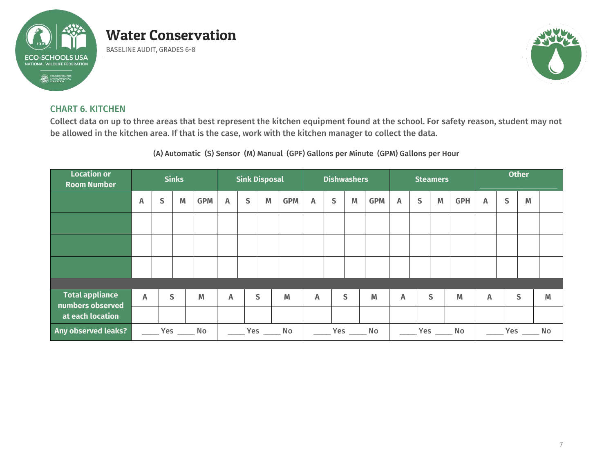

BASELINE AUDIT, GRADES 6-8



### CHART 6. KITCHEN

Collect data on up to three areas that best represent the kitchen equipment found at the school. For safety reason, student may not be allowed in the kitchen area. If that is the case, work with the kitchen manager to collect the data.

(A) Automatic (S) Sensor (M) Manual (GPF) Gallons per Minute (GPM) Gallons per Hour

| <b>Location or</b><br><b>Room Number</b>   |                           |   | <b>Sinks</b> |            |   | <b>Sink Disposal</b> |   |            |                           | <b>Dishwashers</b> |   |            |                           | <b>Steamers</b> |   | <b>Other</b> |   |              |              |   |
|--------------------------------------------|---------------------------|---|--------------|------------|---|----------------------|---|------------|---------------------------|--------------------|---|------------|---------------------------|-----------------|---|--------------|---|--------------|--------------|---|
|                                            | Α                         | S | M            | <b>GPM</b> | Α | S                    | M | <b>GPM</b> | $\boldsymbol{\mathsf{A}}$ | $\mathsf{S}$       | M | <b>GPM</b> | A                         | $\mathsf{S}$    | M | <b>GPH</b>   | Α | $\mathsf{s}$ | M            |   |
|                                            |                           |   |              |            |   |                      |   |            |                           |                    |   |            |                           |                 |   |              |   |              |              |   |
|                                            |                           |   |              |            |   |                      |   |            |                           |                    |   |            |                           |                 |   |              |   |              |              |   |
|                                            |                           |   |              |            |   |                      |   |            |                           |                    |   |            |                           |                 |   |              |   |              |              |   |
|                                            |                           |   |              |            |   |                      |   |            |                           |                    |   |            |                           |                 |   |              |   |              |              |   |
| <b>Total appliance</b><br>numbers observed | $\boldsymbol{\mathsf{A}}$ |   | S            | M          | A |                      | S | M          | Α                         |                    | S | M          | $\boldsymbol{\mathsf{A}}$ |                 | S | M            | Α |              | $\mathsf{S}$ | M |
| at each location                           |                           |   |              |            |   |                      |   |            |                           |                    |   |            |                           |                 |   |              |   |              |              |   |
| Any observed leaks?                        |                           |   | Yes $\_\_$   | No         |   | Yes<br>No            |   |            | Yes<br>No                 |                    |   | Yes<br>No  |                           |                 |   | Yes<br>No    |   |              |              |   |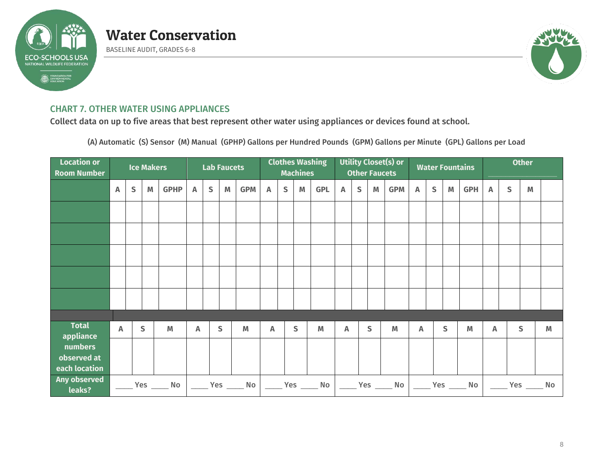

BASELINE AUDIT, GRADES 6-8



### CHART 7. OTHER WATER USING APPLIANCES

Collect data on up to five areas that best represent other water using appliances or devices found at school.

(A) Automatic (S) Sensor (M) Manual (GPHP) Gallons per Hundred Pounds (GPM) Gallons per Minute (GPL) Gallons per Load

| <b>Location or</b><br><b>Room Number</b> |             |             | <b>Ice Makers</b> |                |              |              | <b>Lab Faucets</b> |                                                                                 |   |              | <b>Machines</b> | <b>Clothes Washing</b>                           | Utility Closet(s) or<br><b>Other Faucets</b> |              |   |                                                       |   |              |                                                                                       | <b>Water Fountains</b>                                | <b>Other</b> |                      |   |   |
|------------------------------------------|-------------|-------------|-------------------|----------------|--------------|--------------|--------------------|---------------------------------------------------------------------------------|---|--------------|-----------------|--------------------------------------------------|----------------------------------------------|--------------|---|-------------------------------------------------------|---|--------------|---------------------------------------------------------------------------------------|-------------------------------------------------------|--------------|----------------------|---|---|
|                                          | Α           | $\mathsf S$ | M                 | <b>GPHP</b>    | Α            | $\mathsf{S}$ | M                  | <b>GPM</b>                                                                      | A | $\mathsf{S}$ | M               | <b>GPL</b>                                       | Α                                            | $\mathsf{S}$ | M | <b>GPM</b>                                            | Α | $\mathsf{S}$ | $\mathsf{M}% _{T}=\mathsf{M}_{T}\!\left( a,b\right) ,\ \mathsf{M}_{T}=\mathsf{M}_{T}$ | <b>GPH</b>                                            | $\mathsf{A}$ | S                    | M |   |
|                                          |             |             |                   |                |              |              |                    |                                                                                 |   |              |                 |                                                  |                                              |              |   |                                                       |   |              |                                                                                       |                                                       |              |                      |   |   |
|                                          |             |             |                   |                |              |              |                    |                                                                                 |   |              |                 |                                                  |                                              |              |   |                                                       |   |              |                                                                                       |                                                       |              |                      |   |   |
|                                          |             |             |                   |                |              |              |                    |                                                                                 |   |              |                 |                                                  |                                              |              |   |                                                       |   |              |                                                                                       |                                                       |              |                      |   |   |
|                                          |             |             |                   |                |              |              |                    |                                                                                 |   |              |                 |                                                  |                                              |              |   |                                                       |   |              |                                                                                       |                                                       |              |                      |   |   |
|                                          |             |             |                   |                |              |              |                    |                                                                                 |   |              |                 |                                                  |                                              |              |   |                                                       |   |              |                                                                                       |                                                       |              |                      |   |   |
|                                          |             |             |                   |                |              |              |                    |                                                                                 |   |              |                 |                                                  |                                              |              |   |                                                       |   |              |                                                                                       |                                                       |              |                      |   |   |
| <b>Total</b><br>appliance                | $\mathbb A$ |             | S                 | M              | $\mathbb{A}$ |              | $\mathsf{S}$       | M                                                                               | A |              | S               | M                                                | Α                                            |              | S | M                                                     | A |              | S                                                                                     | M                                                     | A            |                      | S | M |
| numbers                                  |             |             |                   |                |              |              |                    |                                                                                 |   |              |                 |                                                  |                                              |              |   |                                                       |   |              |                                                                                       |                                                       |              |                      |   |   |
| observed at                              |             |             |                   |                |              |              |                    |                                                                                 |   |              |                 |                                                  |                                              |              |   |                                                       |   |              |                                                                                       |                                                       |              |                      |   |   |
| each location                            |             |             |                   |                |              |              |                    |                                                                                 |   |              |                 |                                                  |                                              |              |   |                                                       |   |              |                                                                                       |                                                       |              |                      |   |   |
| Any observed<br>leaks?                   |             |             |                   | Yes _______ No |              |              |                    | $\rule{1em}{0.15mm}$ $\,$ Yes $\rule{1em}{0.15mm}$ $\,$ No $\rule{1em}{0.15mm}$ |   |              |                 | $\rule{1em}{0.15mm}$ Yes $\rule{1em}{0.15mm}$ No |                                              |              |   | $\rule{1em}{0.15mm}$ $\,$ Yes $\rule{1em}{0.15mm}$ No |   |              |                                                                                       | $\rule{1em}{0.15mm}$ $\,$ Yes $\rule{1em}{0.15mm}$ No |              | ______ Yes ______ No |   |   |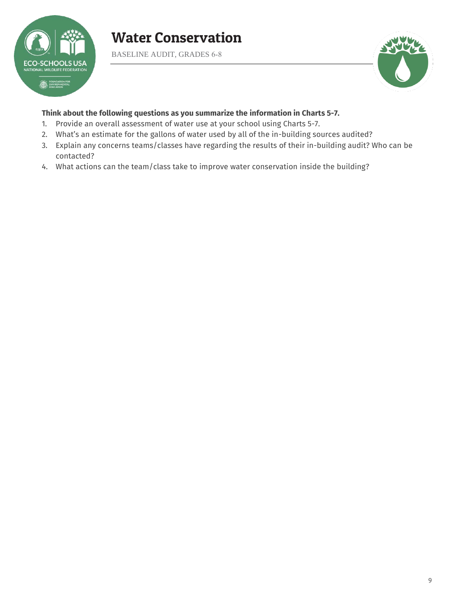

BASELINE AUDIT, GRADES 6-8



### **Think about the following questions as you summarize the information in Charts 5-7.**

- 1. Provide an overall assessment of water use at your school using Charts 5-7.
- 2. What's an estimate for the gallons of water used by all of the in-building sources audited?
- 3. Explain any concerns teams/classes have regarding the results of their in-building audit? Who can be contacted?
- 4. What actions can the team/class take to improve water conservation inside the building?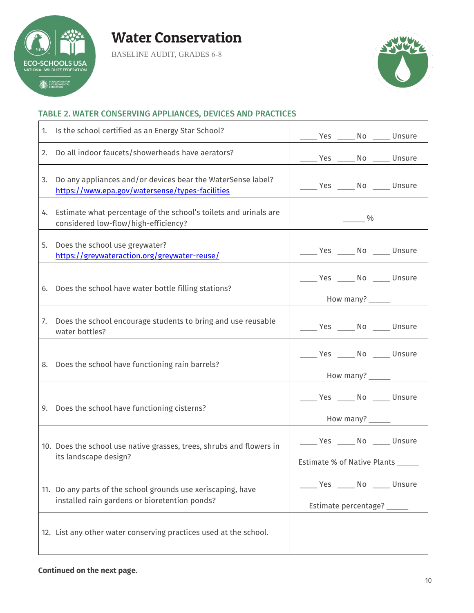

BASELINE AUDIT, GRADES 6-8



 $\overline{\phantom{a}}$ 

## TABLE 2. WATER CONSERVING APPLIANCES, DEVICES AND PRACTICES

| 1. | Is the school certified as an Energy Star School?                                                              | ______ Yes ______ No ______ Unsure |  |  |  |  |  |  |
|----|----------------------------------------------------------------------------------------------------------------|------------------------------------|--|--|--|--|--|--|
| 2. | Do all indoor faucets/showerheads have aerators?                                                               | _____ Yes _____ No _____ Unsure    |  |  |  |  |  |  |
| 3. | Do any appliances and/or devices bear the WaterSense label?<br>https://www.epa.gov/watersense/types-facilities | _____ Yes _____ No _____ Unsure    |  |  |  |  |  |  |
| 4. | Estimate what percentage of the school's toilets and urinals are<br>considered low-flow/high-efficiency?       | $\frac{9}{6}$                      |  |  |  |  |  |  |
| 5. | Does the school use greywater?<br>https://greywateraction.org/greywater-reuse/                                 | ______ Yes ______ No ______ Unsure |  |  |  |  |  |  |
| 6. | Does the school have water bottle filling stations?                                                            | Ves ______ No ______ Unsure        |  |  |  |  |  |  |
|    |                                                                                                                | How many? ______                   |  |  |  |  |  |  |
| 7. | Does the school encourage students to bring and use reusable<br>water bottles?                                 | Ves _____ No _____ Unsure          |  |  |  |  |  |  |
|    | 8. Does the school have functioning rain barrels?                                                              | Ves ______ No ______ Unsure        |  |  |  |  |  |  |
|    |                                                                                                                | How many? _____                    |  |  |  |  |  |  |
|    | 9. Does the school have functioning cisterns?                                                                  | Ves _____ No _____ Unsure          |  |  |  |  |  |  |
|    |                                                                                                                |                                    |  |  |  |  |  |  |
|    | 10. Does the school use native grasses, trees, shrubs and flowers in                                           | _____ Yes _____ No _____ Unsure    |  |  |  |  |  |  |
|    | its landscape design?                                                                                          | Estimate % of Native Plants ______ |  |  |  |  |  |  |
|    | 11. Do any parts of the school grounds use xeriscaping, have                                                   | _Yes _____ No _____ Unsure         |  |  |  |  |  |  |
|    | installed rain gardens or bioretention ponds?                                                                  | Estimate percentage? _____         |  |  |  |  |  |  |
|    | 12. List any other water conserving practices used at the school.                                              |                                    |  |  |  |  |  |  |